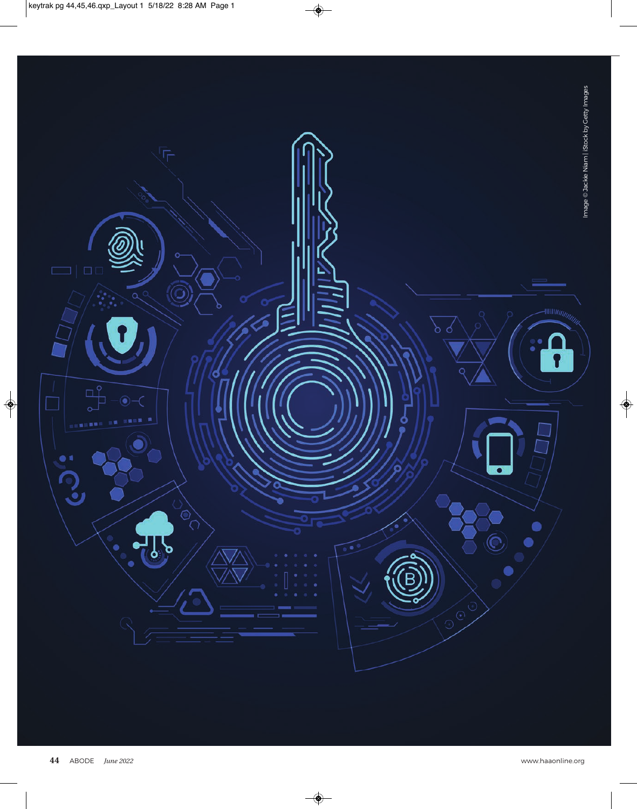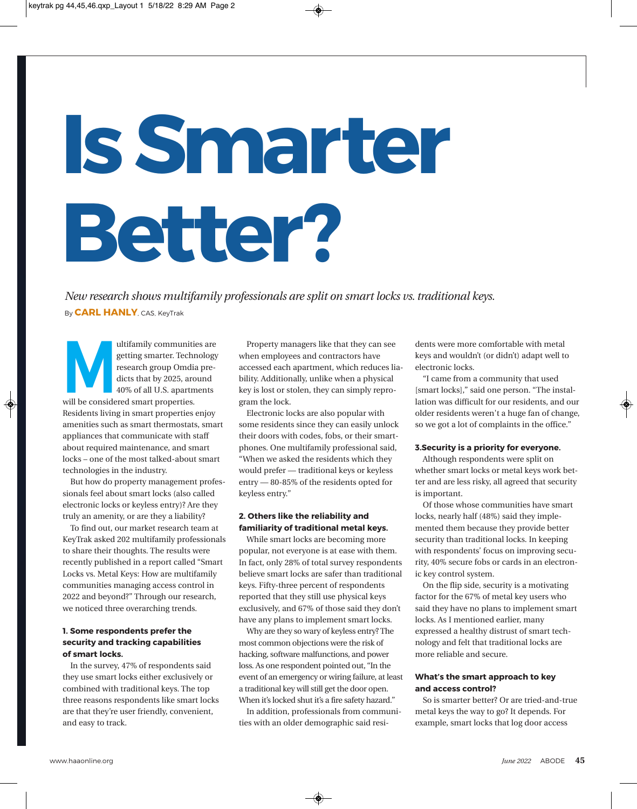# **Is Smarter Better?**

*New research shows multifamily professionals are split on smart locks vs. traditional keys.* By **CARL HANLY**, CAS, KeyTrak

ultifamily communities are<br>getting smarter. Technology<br>research group Omdia pre-<br>dicts that by 2025, around<br>40% of all U.S. apartments<br>will be considered smart properties.<br>Residents living in smart properties enjoy<br>ameniti getting smarter. Technology research group Omdia predicts that by 2025, around 40% of all U.S. apartments will be considered smart properties. Residents living in smart properties enjoy amenities such as smart thermostats, smart appliances that communicate with staff about required maintenance, and smart locks – one of the most talked-about smart technologies in the industry.

But how do property management professionals feel about smart locks (also called electronic locks or keyless entry)? Are they truly an amenity, or are they a liability?

To find out, our market research team at KeyTrak asked 202 multifamily professionals to share their thoughts. The results were recently published in a report called "Smart Locks vs. Metal Keys: How are multifamily communities managing access control in 2022 and beyond?" Through our research, we noticed three overarching trends.

# **1. Some respondents prefer the security and tracking capabilities of smart locks.**

In the survey, 47% of respondents said they use smart locks either exclusively or combined with traditional keys. The top three reasons respondents like smart locks are that they're user friendly, convenient, and easy to track.

Property managers like that they can see when employees and contractors have accessed each apartment, which reduces liability. Additionally, unlike when a physical key is lost or stolen, they can simply reprogram the lock.

Electronic locks are also popular with some residents since they can easily unlock their doors with codes, fobs, or their smartphones. One multifamily professional said, "When we asked the residents which they would prefer — traditional keys or keyless entry — 80-85% of the residents opted for keyless entry."

## **2. Others like the reliability and familiarity of traditional metal keys.**

While smart locks are becoming more popular, not everyone is at ease with them. In fact, only 28% of total survey respondents believe smart locks are safer than traditional keys. Fifty-three percent of respondents reported that they still use physical keys exclusively, and 67% of those said they don't have any plans to implement smart locks.

Why are they so wary of keyless entry? The most common objections were the risk of hacking, software malfunctions, and power loss. As one respondent pointed out, "In the event of an emergency or wiring failure, at least a traditional key will still get the door open. When it's locked shut it's a fire safety hazard."

In addition, professionals from communities with an older demographic said residents were more comfortable with metal keys and wouldn't (or didn't) adapt well to electronic locks.

"I came from a community that used [smart locks]," said one person. "The installation was difficult for our residents, and our older residents weren't a huge fan of change, so we got a lot of complaints in the office."

### **3.Security is a priority for everyone.**

Although respondents were split on whether smart locks or metal keys work better and are less risky, all agreed that security is important.

Of those whose communities have smart locks, nearly half (48%) said they implemented them because they provide better security than traditional locks. In keeping with respondents' focus on improving security, 40% secure fobs or cards in an electronic key control system.

On the flip side, security is a motivating factor for the 67% of metal key users who said they have no plans to implement smart locks. As I mentioned earlier, many expressed a healthy distrust of smart technology and felt that traditional locks are more reliable and secure.

## **What's the smart approach to key and access control?**

So is smarter better? Or are tried-and-true metal keys the way to go? It depends. For example, smart locks that log door access